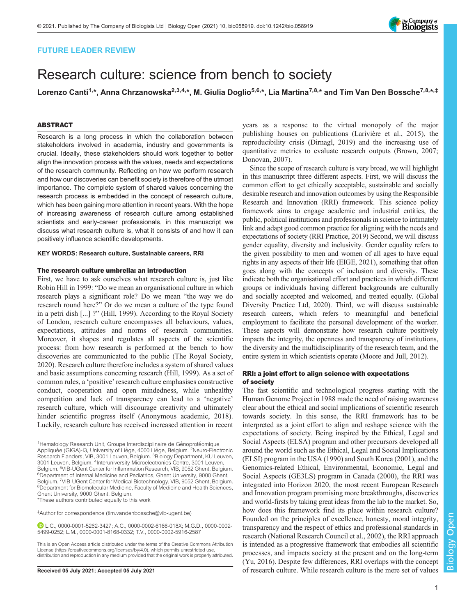## FUTURE LEADER REVIEW

# Research culture: science from bench to society

Lorenzo Canti<sup>1,</sup>\*, Anna Chrzanowska<sup>2,3,4,</sup>\*, M. Giulia Doglio<sup>5,6,</sup>\*, Lia Martina<sup>7,8,</sup>\* and Tim Van Den Bossche<sup>7,8,</sup>\*,‡

## ABSTRACT

Research is a long process in which the collaboration between stakeholders involved in academia, industry and governments is crucial. Ideally, these stakeholders should work together to better align the innovation process with the values, needs and expectations of the research community. Reflecting on how we perform research and how our discoveries can benefit society is therefore of the utmost importance. The complete system of shared values concerning the research process is embedded in the concept of research culture, which has been gaining more attention in recent years. With the hope of increasing awareness of research culture among established scientists and early-career professionals, in this manuscript we discuss what research culture is, what it consists of and how it can positively influence scientific developments.

#### KEY WORDS: Research culture, Sustainable careers, RRI

#### The research culture umbrella: an introduction

First, we have to ask ourselves what research culture is, just like Robin Hill in 1999: "Do we mean an organisational culture in which research plays a significant role? Do we mean "the way we do research round here?" Or do we mean a culture of the type found in a petri dish [...] ?" [\(Hill, 1999\)](#page-3-0). According to the Royal Society of London, research culture encompasses all behaviours, values, expectations, attitudes and norms of research communities. Moreover, it shapes and regulates all aspects of the scientific process: from how research is performed at the bench to how discoveries are communicated to the public [\(The Royal Society,](#page-4-0) [2020](#page-4-0)). Research culture therefore includes a system of shared values and basic assumptions concerning research ([Hill, 1999\)](#page-3-0). As a set of common rules, a 'positive' research culture emphasises constructive conduct, cooperation and open mindedness, while unhealthy competition and lack of transparency can lead to a 'negative' research culture, which will discourage creativity and ultimately hinder scientific progress itself ([Anonymous academic, 2018\)](#page-3-0). Luckily, research culture has received increased attention in recent

<sup>1</sup>Hematology Research Unit, Groupe Interdisciplinaire de Génoprotéomique Appliquée (GIGA)-I3, University of Liège, 4000 Liège, Belgium. <sup>2</sup>Neuro-Electronic Research Flanders, VIB, 3001 Leuven, Belgium. <sup>3</sup> Biology Department, KU Leuven, 3001 Leuven, Belgium. <sup>4</sup>Interuniversity Microelectronics Centre, 3001 Leuven, Belgium. <sup>5</sup>VIB-UGent Center for Inflammation Research, VIB, 9052 Ghent, Belgium.<br><sup>6</sup>Denartment of Internal Medicine and Pediatrics. Ghent Llniversity, 9000 Ghent <sup>6</sup>Department of Internal Medicine and Pediatrics, Ghent University, 9000 Ghent, Belgium. <sup>7</sup>VIB-UGent Center for Medical Biotechnology, VIB, 9052 Ghent, Belgium.<br><sup>8</sup>Department for Biomolecular Medicine, Faculty of Medicine and Health Sciences, Ghent University, 9000 Ghent, Belgium.

\*These authors contributed equally to this work

‡ Author for correspondence ([tim.vandenbossche@vib-ugent.be](mailto:tim.vandenbossche@vib-ugent.be))

L.C., [0000-0001-5262-3427;](http://orcid.org/0000-0001-5262-3427) A.C., [0000-0002-6166-018X;](http://orcid.org/0000-0002-6166-018X) M.G.D., [0000-0002-](http://orcid.org/0000-0002-5499-0252) [5499-0252](http://orcid.org/0000-0002-5499-0252); L.M., [0000-0001-8168-0332](http://orcid.org/0000-0001-8168-0332); T.V., [0000-0002-5916-2587](http://orcid.org/0000-0002-5916-2587)

This is an Open Access article distributed under the terms of the Creative Commons Attribution License (https://creativecommons.org/licenses/by/4.0), which permits unrestricted use, distribution and reproduction in any medium provided that the original work is properly attributed.

years as a response to the virtual monopoly of the major publishing houses on publications (Larivière et al., 2015), the reproducibility crisis [\(Dirnagl, 2019](#page-3-0)) and the increasing use of quantitative metrics to evaluate research outputs [\(Brown, 2007](#page-3-0); [Donovan, 2007\)](#page-3-0).

Since the scope of research culture is very broad, we will highlight in this manuscript three different aspects. First, we will discuss the common effort to get ethically acceptable, sustainable and socially desirable research and innovation outcomes by using the Responsible Research and Innovation (RRI) framework. This science policy framework aims to engage academic and industrial entities, the public, political institutions and professionals in science to intimately link and adapt good common practice for aligning with the needs and expectations of society [\(RRI Practice, 2019](#page-4-0)) Second, we will discuss gender equality, diversity and inclusivity. Gender equality refers to the given possibility to men and women of all ages to have equal rights in any aspects of their life [\(EIGE, 2021](#page-3-0)), something that often goes along with the concepts of inclusion and diversity. These indicate both the organisational effort and practices in which different groups or individuals having different backgrounds are culturally and socially accepted and welcomed, and treated equally. ([Global](#page-3-0) [Diversity Practice Ltd, 2020\)](#page-3-0). Third, we will discuss sustainable research careers, which refers to meaningful and beneficial employment to facilitate the personal development of the worker. These aspects will demonstrate how research culture positively impacts the integrity, the openness and transparency of institutions, the diversity and the multidisciplinarity of the research team, and the entire system in which scientists operate [\(Moore and Jull, 2012](#page-3-0)).

## RRI: a joint effort to align science with expectations of society

The fast scientific and technological progress starting with the Human Genome Project in 1988 made the need of raising awareness clear about the ethical and social implications of scientific research towards society. In this sense, the RRI framework has to be interpreted as a joint effort to align and reshape science with the expectations of society. Being inspired by the Ethical, Legal and Social Aspects (ELSA) program and other precursors developed all around the world such as the Ethical, Legal and Social Implications (ELSI) program in the USA (1990) and South Korea (2001), and the Genomics-related Ethical, Environmental, Economic, Legal and Social Aspects (GE3LS) program in Canada (2000), the RRI was integrated into Horizon 2020, the most recent European Research and Innovation program promising more breakthroughs, discoveries and world-firsts by taking great ideas from the lab to the market. So, how does this framework find its place within research culture? Founded on the principles of excellence, honesty, moral integrity, transparency and the respect of ethics and professional standards in research ([National Research Council et al., 2002](#page-3-0)), the RRI approach is intended as a progressive framework that embodies all scientific processes, and impacts society at the present and on the long-term [\(Yu, 2016](#page-4-0)). Despite few differences, RRI overlaps with the concept Received 05 July 2021; Accepted 05 July 2021 of research culture. While research culture is the mere set of values

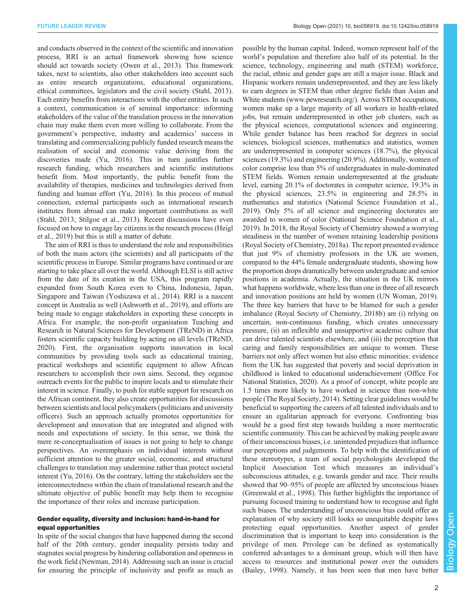and conducts observed in the context of the scientific and innovation process, RRI is an actual framework showing how science should act towards society [\(Owen et al., 2013](#page-4-0)). This framework takes, next to scientists, also other stakeholders into account such as entire research organizations, educational organizations, ethical committees, legislators and the civil society ([Stahl, 2013\)](#page-4-0). Each entity benefits from interactions with the other entities. In such a context, communication is of seminal importance: informing stakeholders of the value of the translation process in the innovation chain may make them even more willing to collaborate. From the government's perspective, industry and academics' success in translating and commercializing publicly funded research means the realisation of social and economic value deriving from the discoveries made ([Yu, 2016\)](#page-4-0). This in turn justifies further research funding, which researchers and scientific institutions benefit from. Most importantly, the public benefit from the availability of therapies, medicines and technologies derived from funding and human effort ([Yu, 2016\)](#page-4-0). In this process of mutual connection, external participants such as international research institutes from abroad can make important contributions as well [\(Stahl, 2013](#page-4-0); [Stilgoe et al., 2013](#page-4-0)). Recent discussions have even focused on how to engage lay citizens in the research process [\(Heigl](#page-3-0) [et al., 2019\)](#page-3-0) but this is still a matter of debate.

The aim of RRI is thus to understand the role and responsibilities of both the main actors (the scientists) and all participants of the scientific process in Europe. Similar programs have continued or are starting to take place all over the world. Although ELSI is still active from the date of its creation in the USA, this program rapidly expanded from South Korea even to China, Indonesia, Japan, Singapore and Taiwan ([Yoshizawa et al., 2014\)](#page-4-0). RRI is a nascent concept in Australia as well ([Ashworth et al., 2019](#page-3-0)), and efforts are being made to engage stakeholders in exporting these concepts in Africa. For example, the non-profit organisation Teaching and Research in Natural Sciences for Development (TReND) in Africa fosters scientific capacity building by acting on all levels ([TReND,](#page-4-0) [2020](#page-4-0)). First, the organisation supports innovation in local communities by providing tools such as educational training, practical workshops and scientific equipment to allow African researchers to accomplish their own aims. Second, they organise outreach events for the public to inspire locals and to stimulate their interest in science. Finally, to push for stable support for research on the African continent, they also create opportunities for discussions between scientists and local policymakers (politicians and university officers). Such an approach actually promotes opportunities for development and innovation that are integrated and aligned with needs and expectations of society. In this sense, we think the mere re-conceptualisation of issues is not going to help to change perspectives. An overemphasis on individual interests without sufficient attention to the greater social, economic, and structural challenges to translation may undermine rather than protect societal interest ([Yu, 2016\)](#page-4-0). On the contrary, letting the stakeholders see the interconnectedness within the chain of translational research and the ultimate objective of public benefit may help them to recognise the importance of their roles and increase participation.

### Gender equality, diversity and inclusion: hand-in-hand for equal opportunities

In spite of the social changes that have happened during the second half of the 20th century, gender inequality persists today and stagnates social progress by hindering collaboration and openness in the work field [\(Newman, 2014\)](#page-3-0). Addressing such an issue is crucial for ensuring the principle of inclusivity and profit as much as possible by the human capital. Indeed, women represent half of the world's population and therefore also half of its potential. In the science, technology, engineering and math (STEM) workforce, the racial, ethnic and gender gaps are still a major issue. Black and Hispanic workers remain underrepresented, and they are less likely to earn degrees in STEM than other degree fields than Asian and White students (www.pewresearch.org/). Across STEM occupations, women make up a large majority of all workers in health-related jobs, but remain underrepresented in other job clusters, such as the physical sciences, computational sciences and engineering. While gender balance has been reached for degrees in social sciences, biological sciences, mathematics and statistics, women are underrepresented in computer sciences (18.7%), the physical sciences (19.3%) and engineering (20.9%). Additionally, women of color comprise less than 5% of undergraduates in male-dominated STEM fields. Women remain underrepresented at the graduate level, earning 20.1% of doctorates in computer science, 19.3% in the physical sciences, 23.5% in engineering and 28.5% in mathematics and statistics (National Science Foundation et al., 2019). Only 5% of all science and engineering doctorates are awarded to women of color ([National Science Foundation et al.,](#page-3-0) [2019\)](#page-3-0). In 2018, the Royal Society of Chemistry showed a worrying steadiness in the number of women retaining leadership positions [\(Royal Society of Chemistry, 2018a\)](#page-4-0). The report presented evidence that just 9% of chemistry professors in the UK are women, compared to the 44% female undergraduate students, showing how the proportion drops dramatically between undergraduate and senior positions in academia. Actually, the situation in the UK mirrors what happens worldwide, where less than one in three of all research and innovation positions are held by women [\(UN Woman, 2019\)](#page-4-0). The three key barriers that have to be blamed for such a gender imbalance ([Royal Society of Chemistry, 2018b](#page-4-0)) are (i) relying on uncertain, non-continuous funding, which creates unnecessary pressure, (ii) an inflexible and unsupportive academic culture that can drive talented scientists elsewhere, and (iii) the perception that caring and family responsibilities are unique to women. These barriers not only affect women but also ethnic minorities: evidence from the UK has suggested that poverty and social deprivation in childhood is linked to educational underachievement ([Office For](#page-3-0) [National Statistics, 2020\)](#page-3-0). As a proof of concept, white people are 1.5 times more likely to have worked in science than non-white people ([The Royal Society, 2014\)](#page-4-0). Setting clear guidelines would be beneficial to supporting the careers of all talented individuals and to ensure an egalitarian approach for everyone. Confronting bias would be a good first step towards building a more meritocratic scientific community. This can be achieved by making people aware of their unconscious biases, i.e. unintended prejudices that influence our perceptions and judgements. To help with the identification of these stereotypes, a team of social psychologists developed the Implicit Association Test which measures an individual's subconscious attitudes, e.g. towards gender and race. Their results showed that 90–95% of people are affected by unconscious biases [\(Greenwald et al., 1998](#page-3-0)). This further highlights the importance of pursuing focused training to understand how to recognise and fight such biases. The understanding of unconscious bias could offer an explanation of why society still looks so unequitable despite laws protecting equal opportunities. Another aspect of gender discrimination that is important to keep into consideration is the privilege of men. Privilege can be defined as systematically conferred advantages to a dominant group, which will then have access to resources and institutional power over the outsiders [\(Bailey, 1998](#page-3-0)). Namely, it has been seen that men have better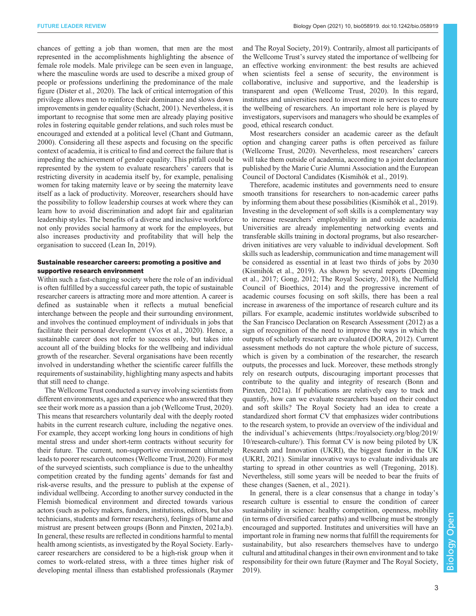chances of getting a job than women, that men are the most represented in the accomplishments highlighting the absence of female role models. Male privilege can be seen even in language, where the masculine words are used to describe a mixed group of people or professions underlining the predominance of the male figure ([Dister et al., 2020](#page-3-0)). The lack of critical interrogation of this privilege allows men to reinforce their dominance and slows down improvements in gender equality [\(Schacht, 2001](#page-4-0)). Nevertheless, it is important to recognise that some men are already playing positive roles in fostering equitable gender relations, and such roles must be encouraged and extended at a political level ([Chant and Gutmann,](#page-3-0) [2000](#page-3-0)). Considering all these aspects and focusing on the specific context of academia, it is critical to find and correct the failure that is impeding the achievement of gender equality. This pitfall could be represented by the system to evaluate researchers' careers that is restricting diversity in academia itself by, for example, penalising women for taking maternity leave or by seeing the maternity leave itself as a lack of productivity. Moreover, researchers should have the possibility to follow leadership courses at work where they can learn how to avoid discrimination and adopt fair and egalitarian leadership styles. The benefits of a diverse and inclusive workforce not only provides social harmony at work for the employees, but also increases productivity and profitability that will help the organisation to succeed ([Lean In, 2019\)](#page-3-0).

## Sustainable researcher careers: promoting a positive and supportive research environment

Within such a fast-changing society where the role of an individual is often fulfilled by a successful career path, the topic of sustainable researcher careers is attracting more and more attention. A career is defined as sustainable when it reflects a mutual beneficial interchange between the people and their surrounding environment, and involves the continued employment of individuals in jobs that facilitate their personal development ([Vos et al., 2020](#page-4-0)). Hence, a sustainable career does not refer to success only, but takes into account all of the building blocks for the wellbeing and individual growth of the researcher. Several organisations have been recently involved in understanding whether the scientific career fulfills the requirements of sustainability, highlighting many aspects and habits that still need to change.

The Wellcome Trust conducted a survey involving scientists from different environments, ages and experience who answered that they see their work more as a passion than a job [\(Wellcome Trust, 2020\)](#page-4-0). This means that researchers voluntarily deal with the deeply rooted habits in the current research culture, including the negative ones. For example, they accept working long hours in conditions of high mental stress and under short-term contracts without security for their future. The current, non-supportive environment ultimately leads to poorer research outcomes ([Wellcome Trust, 2020](#page-4-0)). For most of the surveyed scientists, such compliance is due to the unhealthy competition created by the funding agents' demands for fast and risk-averse results, and the pressure to publish at the expense of individual wellbeing. According to another survey conducted in the Flemish biomedical environment and directed towards various actors (such as policy makers, funders, institutions, editors, but also technicians, students and former researchers), feelings of blame and mistrust are present between groups [\(Bonn and Pinxten, 2021a](#page-3-0),[b\)](#page-3-0). In general, these results are reflected in conditions harmful to mental health among scientists, as investigated by the Royal Society. Earlycareer researchers are considered to be a high-risk group when it comes to work-related stress, with a three times higher risk of developing mental illness than established professionals [\(Raymer](#page-4-0)

[and The Royal Society, 2019](#page-4-0)). Contrarily, almost all participants of the Wellcome Trust's survey stated the importance of wellbeing for an effective working environment: the best results are achieved when scientists feel a sense of security, the environment is collaborative, inclusive and supportive, and the leadership is transparent and open ([Wellcome Trust, 2020\)](#page-4-0). In this regard, institutes and universities need to invest more in services to ensure the wellbeing of researchers. An important role here is played by investigators, supervisors and managers who should be examples of good, ethical research conduct.

Most researchers consider an academic career as the default option and changing career paths is often perceived as failure [\(Wellcome Trust, 2020](#page-4-0)). Nevertheless, most researchers' careers will take them outside of academia, according to a joint declaration published by the Marie Curie Alumni Association and the European Council of Doctoral Candidates ([Kismihók et al., 2019\)](#page-3-0).

Therefore, academic institutes and governments need to ensure smooth transitions for researchers to non-academic career paths by informing them about these possibilities [\(Kismihók et al., 2019\)](#page-3-0). Investing in the development of soft skills is a complementary way to increase researchers' employability in and outside academia. Universities are already implementing networking events and transferable skills training in doctoral programs, but also researcherdriven initiatives are very valuable to individual development. Soft skills such as leadership, communication and time management will be considered as essential in at least two thirds of jobs by 2030 [\(Kismihók et al., 2019](#page-3-0)). As shown by several reports [\(Deeming](#page-3-0) [et al., 2017; Gong, 2012](#page-3-0); [The Royal Society, 2018\)](#page-4-0), the [Nuffield](#page-3-0) [Council of Bioethics, 2014\)](#page-3-0) and the progressive increment of academic courses focusing on soft skills, there has been a real increase in awareness of the importance of research culture and its pillars. For example, academic institutes worldwide subscribed to the San Francisco Declaration on Research Assessment (2012) as a sign of recognition of the need to improve the ways in which the outputs of scholarly research are evaluated [\(DORA, 2012\)](#page-3-0). Current assessment methods do not capture the whole picture of success, which is given by a combination of the researcher, the research outputs, the processes and luck. Moreover, these methods strongly rely on research outputs, discouraging important processes that contribute to the quality and integrity of research [\(Bonn and](#page-3-0) [Pinxten, 2021a\)](#page-3-0). If publications are relatively easy to track and quantify, how can we evaluate researchers based on their conduct and soft skills? The Royal Society had an idea to create a standardized short format CV that emphasizes wider contributions to the research system, to provide an overview of the individual and the individual's achievements ([https://royalsociety.org/blog/2019/](https://royalsociety.org/blog/2019/10/research-culture/) [10/research-culture/](https://royalsociety.org/blog/2019/10/research-culture/)). This format CV is now being piloted by UK Research and Innovation (UKRI), the biggest funder in the UK [\(UKRI, 2021](#page-4-0)). Similar innovative ways to evaluate individuals are starting to spread in other countries as well ([Tregoning, 2018\)](#page-4-0). Nevertheless, still some years will be needed to bear the fruits of these changes [\(Saenen, et al., 2021\)](#page-4-0).

In general, there is a clear consensus that a change in today's research culture is essential to ensure the condition of career sustainability in science: healthy competition, openness, mobility (in terms of diversified career paths) and wellbeing must be strongly encouraged and supported. Institutes and universities will have an important role in framing new norms that fulfill the requirements for sustainability, but also researchers themselves have to undergo cultural and attitudinal changes in their own environment and to take responsibility for their own future [\(Raymer and The Royal Society,](#page-4-0) [2019\)](#page-4-0).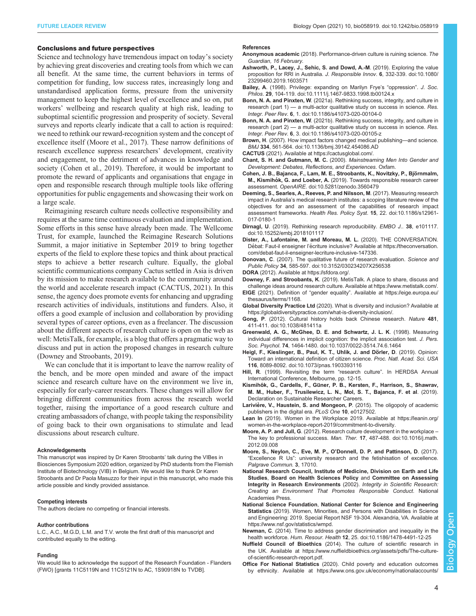#### <span id="page-3-0"></span>Conclusions and future perspectives

Science and technology have tremendous impact on today's society by achieving great discoveries and creating tools from which we can all benefit. At the same time, the current behaviors in terms of competition for funding, low success rates, increasingly long and unstandardised application forms, pressure from the university management to keep the highest level of excellence and so on, put workers' wellbeing and research quality at high risk, leading to suboptimal scientific progression and prosperity of society. Several surveys and reports clearly indicate that a call to action is required: we need to rethink our reward-recognition system and the concept of excellence itself (Moore et al., 2017). These narrow definitions of research excellence suppress researchers' development, creativity and engagement, to the detriment of advances in knowledge and society (Cohen et al., 2019). Therefore, it would be important to promote the reward of applicants and organisations that engage in open and responsible research through multiple tools like offering opportunities for public engagements and showcasing their work on a large scale.

Reimagining research culture needs collective responsibility and requires at the same time continuous evaluation and implementation. Some efforts in this sense have already been made. The Wellcome Trust, for example, launched the Reimagine Research Solutions Summit, a major initiative in September 2019 to bring together experts of the field to explore these topics and think about practical steps to achieve a better research culture. Equally, the global scientific communications company Cactus settled in Asia is driven by its mission to make research available to the community around the world and accelerate research impact (CACTUS, 2021). In this sense, the agency does promote events for enhancing and upgrading research activities of individuals, institutions and funders. Also, it offers a good example of inclusion and collaboration by providing several types of career options, even as a freelancer. The discussion about the different aspects of research culture is open on the web as well: MetisTalk, for example, is a blog that offers a pragmatic way to discuss and put in action the proposed changes in research culture (Downey and Stroobants, 2019).

We can conclude that it is important to leave the narrow reality of the bench, and be more open minded and aware of the impact science and research culture have on the environment we live in, especially for early-career researchers. These changes will allow for bringing different communities from across the research world together, raising the importance of a good research culture and creating ambassadors of change, with people taking the responsibility of going back to their own organisations to stimulate and lead discussions about research culture.

#### Acknowledgements

This manuscript was inspired by Dr Karen Stroobants' talk during the VIBes in Biosciences Symposium 2020 edition, organized by PhD students from the Flemish Institute of Biotechnology (VIB) in Belgium. We would like to thank Dr Karen Stroobants and Dr Paola Masuzzo for their input in this manuscript, who made this article possible and kindly provided assistance.

#### Competing interests

The authors declare no competing or financial interests.

#### Author contributions

L.C., A.C., M.G.D, L.M. and T.V. wrote the first draft of this manuscript and contributed equally to the editing.

#### Funding

We would like to acknowledge the support of the Research Foundation - Flanders (FWO) [grants 11C5119N and 11C5121N to AC, 1S90918N to TVDB].

#### References

- Anonymous academic (2018). Performance-driven culture is ruining science. The Guardian, 16 February.
- [Ashworth, P., Lacey, J., Sehic, S. and Dowd, A.-M](https://doi.org/10.1080/23299460.2019.1603571). (2019). Exploring the value [proposition for RRI in Australia.](https://doi.org/10.1080/23299460.2019.1603571) J. Responsible Innov. 6, 332-339. doi:10.1080/ [23299460.2019.1603571](https://doi.org/10.1080/23299460.2019.1603571)
- Bailey, A[. \(1998\). Privilege: expanding on Marilyn Frye](https://doi.org/10.1111/j.1467-9833.1998.tb00124.x)'s "oppression". J. Soc. Philos. 29[, 104-119. doi:10.1111/j.1467-9833.1998.tb00124.x](https://doi.org/10.1111/j.1467-9833.1998.tb00124.x)
- Bonn, N. A. and Pinxten, W[. \(2021a\). Rethinking success, integrity, and culture in](https://doi.org/10.1186/s41073-020-00104-0) research (part 1) — [a multi-actor qualitative study on success in science.](https://doi.org/10.1186/s41073-020-00104-0) Res. Integr. Peer Rev. 6[, 1. doi:10.1186/s41073-020-00104-0](https://doi.org/10.1186/s41073-020-00104-0)
- Bonn, N. A. and Pinxten, W[. \(2021b\). Rethinking success, integrity, and culture in](https://doi.org/10.1186/s41073-020-00105-z) research (part 2) — [a multi-actor qualitative study on success in science.](https://doi.org/10.1186/s41073-020-00105-z) Res. Integr. Peer Rev. 6[, 3. doi:10.1186/s41073-020-00105-z](https://doi.org/10.1186/s41073-020-00105-z)
- Brown, H[. \(2007\). How impact factors changed medical publishing](https://doi.org/10.1136/bmj.39142.454086.AD)—and science. BMJ 334[, 561-564. doi:10.1136/bmj.39142.454086.AD](https://doi.org/10.1136/bmj.39142.454086.AD)
- CACTUS (2021). Available at<https://cactusglobal.com/>.
- Chant, S. H. and Gutmann, M. C. (2000). Mainstreaming Men Into Gender and Development: Debates, Reflections, and Experiences. Oxfam.
- Cohen, J. B., Bajanca, F., Lam, M. E., Stroobants, K., Novitzky, P., Björnmalm, M., Kismihók, G. and Loeber, A. [\(2019\). Towards responsible research career](https://doi.org/10.5281/zenodo.3560479) assessment. OpenAIRE[. doi:10.5281/zenodo.3560479](https://doi.org/10.5281/zenodo.3560479)
- [Deeming, S., Searles, A., Reeves, P. and Nilsson, M](https://doi.org/10.1186/s12961-017-0180-1). (2017). Measuring research impact in Australia'[s medical research institutes: a scoping literature review of the](https://doi.org/10.1186/s12961-017-0180-1) [objectives for and an assessment of the capabilities of research impact](https://doi.org/10.1186/s12961-017-0180-1) assessment frameworks. Health Res. Policy Syst. 15[, 22. doi:10.1186/s12961-](https://doi.org/10.1186/s12961-017-0180-1) [017-0180-1](https://doi.org/10.1186/s12961-017-0180-1)
- Dirnagl, U[. \(2019\). Rethinking research reproducibility.](https://doi.org/10.15252/embj.2018101117) EMBO J., 38, e101117. [doi:10.15252/embj.2018101117](https://doi.org/10.15252/embj.2018101117)
- Dister, A., Lafontaine, M. and Moreau, M. L. (2020). THE CONVERSATION. Débat: Faut-il enseigner l'écriture inclusive? Available at [https://theconversation.](https://theconversation.com/debat-faut-il-enseigner-lecriture-inclusive-147336) [com/debat-faut-il-enseigner-lecriture-inclusive-147336](https://theconversation.com/debat-faut-il-enseigner-lecriture-inclusive-147336).
- Donovan, C[. \(2007\). The qualitative future of research evaluation.](https://doi.org/10.3152/030234207X256538) Science and Public Policy 34[, 585-597. doi:10.3152/030234207X256538](https://doi.org/10.3152/030234207X256538)
- DORA (2012). Available at [https://sfdora.org/.](https://sfdora.org/)

Downey, F. and Stroobants, K. (2019). MetisTalk. A place to share, discuss and challenge ideas around research culture. Available at<https://www.metistalk.com/>.

EIGE (2021). Definition of "gender equality". Available at [https://eige.europa.eu/](https://eige.europa.eu/thesaurus/terms/1168) [thesaurus/terms/1168](https://eige.europa.eu/thesaurus/terms/1168).

- Global Diversity Practice Ltd (2020). What is diversity and inclusion? Available at [https://globaldiversitypractice.com/what-is-diversity-inclusion/.](https://globaldiversitypractice.com/what-is-diversity-inclusion/)
- Gong, P[. \(2012\). Cultural history holds back Chinese research.](https://doi.org/10.1038/481411a) Nature 481, [411-411. doi:10.1038/481411a](https://doi.org/10.1038/481411a)
- [Greenwald, A. G., McGhee, D. E. and Schwartz, J. L. K](https://doi.org/10.1037/0022-3514.74.6.1464). (1998). Measuring [individual differences in implicit cognition: the implicit association test.](https://doi.org/10.1037/0022-3514.74.6.1464) J. Pers. Soc. Psychol. 74[, 1464-1480. doi:10.1037/0022-3514.74.6.1464](https://doi.org/10.1037/0022-3514.74.6.1464)
- Heigl, F., Kieslinger, B., Paul, K. T., Uhlik, J. and Dörler, D. (2019). Opinion: [Toward an international definition of citizen science.](https://doi.org/10.1073/pnas.1903393116) Proc. Natl. Acad. Sci. USA 116[, 8089-8092. doi:10.1073/pnas.1903393116](https://doi.org/10.1073/pnas.1903393116)
- Hill, R. (1999). Revisiting the term "research culture". In HERDSA Annual International Conference, Melbourne, pp. 12-15.
- Kismihók, G., Cardells, F., Güner, P. B., Kersten, F., Harrison, S., Shawrav, M. M., Huber, F., Trusilewicz, L. N., Mol, S. T., Bajanca, F. et al. (2019). Declaration on Sustainable Researcher Careers.
- Larivière, V., Haustein, S. and Mongeon, P. (2015). The oligopoly of academic publishers in the digital era. PLoS One 10, e0127502.
- Lean In (2019). Women in the Workplace 2019. Available at [https://leanin.org/](https://leanin.org/women-in-the-workplace-report-2019/commitment-to-diversity) [women-in-the-workplace-report-2019/commitment-to-diversity.](https://leanin.org/women-in-the-workplace-report-2019/commitment-to-diversity)
- Moore, A. P. and Jull, G[. \(2012\). Research culture development in the workplace](https://doi.org/10.1016/j.math.2012.09.008) [The key to professional success.](https://doi.org/10.1016/j.math.2012.09.008) Man. Ther. 17, 487-488. doi:10.1016/j.math. [2012.09.008](https://doi.org/10.1016/j.math.2012.09.008)
- Moore, S., Neylon, C., Eve, M. P., O'Donnell, D. P. and Pattinson, D. (2017). "Excellence R Us": university research and the fetishisation of excellence. Palgrave Commun. 3, 17010.
- National Research Council, Institute of Medicine, Division on Earth and Life Studies, Board on Health Sciences Policy and Committee on Assessing Integrity in Research Environments (2002). Integrity in Scientific Research: Creating an Environment That Promotes Responsible Conduct. National Academies Press.
- National Science Foundation, National Center for Science and Engineering Statistics (2019). Women, Minorities, and Persons with Disabilities in Science and Engineering: 2019. Special Report NSF 19-304. Alexandria, VA. Available at [https://www.nsf.gov/statistics/wmpd.](https://www.nsf.gov/statistics/wmpd)
- Newman, C[. \(2014\). Time to address gender discrimination and inequality in the](https://doi.org/10.1186/1478-4491-12-25) health workforce. Hum. Resour. Health 12[, 25. doi:10.1186/1478-4491-12-25](https://doi.org/10.1186/1478-4491-12-25)
- Nuffield Council of Bioethics (2014). The culture of scientific research in the UK. Available at [https://www.nuffieldbioethics.org/assets/pdfs/The-culture](https://www.nuffieldbioethics.org/assets/pdfs/The-culture-of-scientific-research-report.pdf)[of-scientific-research-report.pdf](https://www.nuffieldbioethics.org/assets/pdfs/The-culture-of-scientific-research-report.pdf).
- Office For National Statistics (2020). Child poverty and education outcomes by ethnicity. Available at [https://www.ons.gov.uk/economy/nationalaccounts/](https://www.ons.gov.uk/economy/nationalaccounts/uksectoraccounts/compendium/economicreview/february2020/childpovertyandeducationoutcomesbyethnicity#toc)